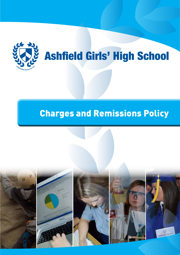

# Ashfield Girls' High School

## Charges and Remissions Policy

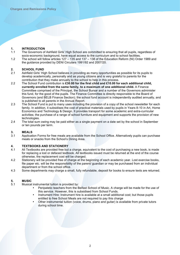### **1. INTRODUCTION**

The Governors of Ashfield Girls' High School are committed to ensuring that all pupils, regardless of socio-economic background, have equal access to the curriculum and to school facilities.

 **Charges and Remissions Policy Policy 2013 - 2014 - 2014 - 2014 - 2014 - 2014 - 2014 - 2014 - 2014 - 2014 - 2014 - 2014** 

1.2 The school will follow articles 127 – 135 and 137 – 138 of the Education Reform (NI) Order 1989 and the guidance provided by DENI Circulars 1991/92 and 2007/20.

#### **2. SCHOOL FUND**<br>2.1 **Ashfield Girls' High**

- 2.1 Ashfield Girls' High School believes in providing as many opportunities as possible for its pupils to develop academically, personally and as young citizens and is very grateful to parents for the contribution that they make annually to the school to help in this process.
- 2.2 The School Fund contribution is **£30.00 for the first child and £10.00 for each additional child, currently enrolled from the same family, to a maximum of one additional child.** A Finance Committee comprised of the Principal, the School Bursar and a number of the Governors administer this fund, for the good of the pupils. The Finance Committee is directly responsible to the Board of Governors (and BELB Finance Section); the school fund account is independently audited annually, and is published to all parents in the Annual Report.
- 2.3 The School Fund is put to many uses including the provision of a copy of the school newsletter for each family. In addition, it subsidises the cost of practical materials used by pupils in Years 8-10 in Art, Home Economics and Technology & Design. It provides transport for some academic and extra-curricular activities; the purchase of a range of school furniture and equipment and supports the provision of new technologies.
- 2.4 The total sum owing may be paid either as a single payment on a date set by the school in September or ten pounds per term.

## **3. MEALS**

Application Forms for free meals are available from the School Office. Alternatively pupils can purchase meals or snacks from the School's Dining Area.

#### **4. TEXTBOOKS AND STATIONERY**

- 4.1 All Textbooks are provided free but a charge, equivalent to the cost of purchasing a new book, is made for replacing a lost or defaced textbook. All textbooks issued must be returned at the end of the course otherwise, the replacement cost will be charged.
- 4.2 Stationery will be provided free of charge at the beginning of each academic year. Lost exercise books, file paper etc. will be the responsibility of the parent/ guardian or may be purchased from an individual department or from the school office.
- 4.3 Some departments may charge a small, fully refundable, deposit for books to ensure texts are returned.

## **5. MUSIC**

- Musical instrumental tuition is provided by:
	- Peripatetic teachers from the Belfast School of Music. A charge will be made for the use of this service. However, this is subsidised from School Funds.
	- Instrument Hire: Instrument hire is available at a small additional cost; but those pupils entitled to free School Meals are not required to pay this charge
	- Other instrumental tuition (voice, drums, piano and guitar) is available from private tutors during school time.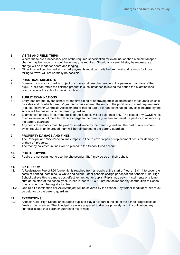## **6. VISITS AND FIELD TRIPS**

2

- Where these are a necessary part of the required specification for examination then a small transport charge may be made or a contribution may be required. Should an overnight stay be necessary a charge will be made for board and lodging.
- 6.2 Other trips will be charged at cost. All payments must be made before travel and refunds for those failing to travel will not normally be possible.

 **Charges and Remissions Policy** 

**ASHFIELD GIRLS' HIGH SCHOOL ASHFIELD** 

#### **7. PRACTICAL SUBJECTS**

Some extra costs incurred in project or coursework are chargeable to the parents/ quardians of the pupil. Pupils can retain the finished product in such instances following the period the examinations boards require the school to retain such work.

## **8. PUBLIC EXAMINATIONS**

- Entry fees are met by the school for the first sitting of approved public examinations for courses which it provides and for which parents/ guardians have agreed the entry. If the pupil fails to meet requirements (e.g. coursework/ Controlled Assessment) or fails to turn up for an examination, any cost incurred by the school will be passed onto the parent/ guardian.
- 8.2 Examination entries, for current pupils of the School, will be paid once only. The cost of any GCSE re-sit of an examination of module will be a charge to the parent/ guardian and must be paid for in advance by the parent/ guardian.
- 8.3 Any costs of re-marks must be paid for in advance by the parent/ guardian. The cost of any re-mark which results in an improved mark will be reimbursed to the parent/ guardian.

#### **9. PROPERTY DAMAGE AND FINES**

- 9.1 The Principal and Vice-Principal may impose a fine to cover repair or replacement costs for damage to, or theft of, property.
- 9.2 The money collected in fines will be placed in the School Fund account.

#### **10. PHOTOCOPYING**

10.1 Pupils are not permitted to use the photocopier. Staff may do so on their behalf.

#### **11. SIXTH FORM**

- 11.1 A Registration Fee of £50 (currently) is required from all pupils at the start of Years 13 & 14 to cover the costs of printing, both black & white and colour. Other schools charge per sheet but Ashfield Girls' High School believe this is a more cost effective method for pupils. Pupils may pay in instalments or a lump sum at the start of the school year. Pupils in Years 13 & 14 are not asked for any contribution to School Funds other than the registration fee.
- 11.2 One re-sit examination per AS/A2subject will be covered by the school. Any further modular re-sits must be paid for by the parent/ guardian

#### **12. EXEMPTIONS**

12.1 Ashfield Girls' High School encourages pupils to play a full part in the life of the school, regardless of family circumstances. The Principal is always prepared to discuss privately, and in confidence, any financial issues that parents/ guardians might raise.